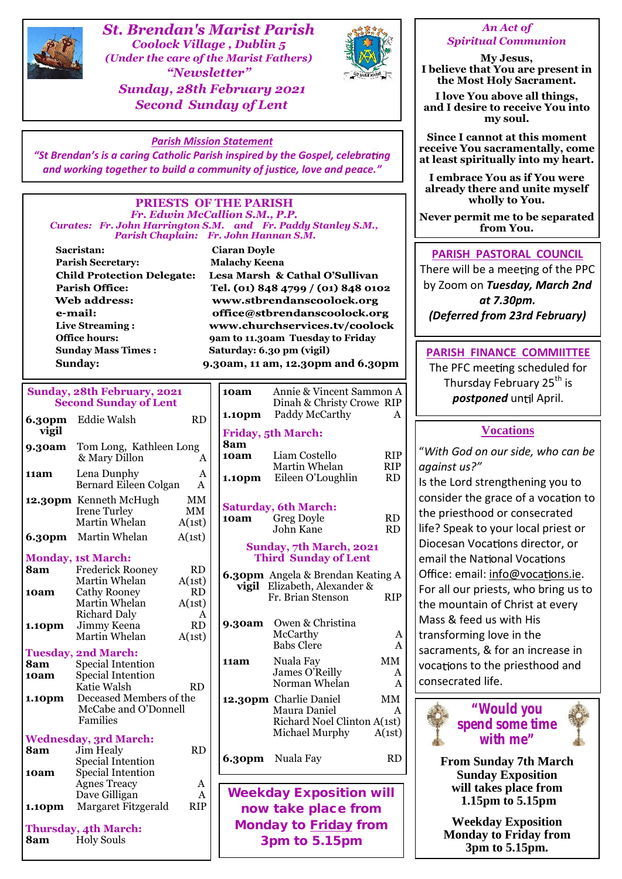

*St. Brendan's Marist Parish Coolock Village , Dublin 5 (Under the care of the Marist Fathers) "Newsletter" Sunday, 28th February 2021 Second Sunday of Lent*



#### *An Act of Spiritual Communion*

**My Jesus, I believe that You are present in the Most Holy Sacrament.**

**I love You above all things, and I desire to receive You into my soul.**

**Since I cannot at this moment receive You sacramentally, come at least spiritually into my heart.**

**I embrace You as if You were already there and unite myself wholly to You.**

**Never permit me to be separated from You.**

### **PARISH PASTORAL COUNCIL**

There will be a meeting of the PPC by Zoom on *Tuesday, March 2nd at 7.30pm. (Deferred from 23rd February)*

#### **PARISH FINANCE COMMIITTEE**

The PFC meeting scheduled for Thursday February 25<sup>th</sup> is *postponed* until April.

### **Vocations**

"*With God on our side, who can be against us?"*

Is the Lord strengthening you to consider the grace of a vocation to the priesthood or consecrated life? Speak to your local priest or Diocesan Vocations director, or email the National Vocations Office: email: info@vocations.ie. For all our priests, who bring us to the mountain of Christ at every Mass & feed us with His transforming love in the sacraments, & for an increase in vocations to the priesthood and consecrated life.



**From Sunday 7th March Sunday Exposition will takes place from 1.15pm to 5.15pm**

**Weekday Exposition Monday to Friday from 3pm to 5.15pm.**

#### *Parish Mission Statement*

*"St Brendan's is a caring Catholic Parish inspired by the Gospel, celebrating and working together to build a community of justice, love and peace."* 

#### **PRIESTS OF THE PARISH** *Fr. Edwin McCallion S.M., P.P. Curates: Fr. John Harrington S.M. and Fr. Paddy Stanley S.M., Parish Chaplain: Fr. John Hannan S.M.*

**Sacristan: Ciaran Doyle Parish Secretary: Malachy Keena Child Protection Delegate: Parish Office: Web address:** e-mail: **Live Streaming : Sunday Mass Times : Saturday: 6.30 pm (vigil)**

Lesa Marsh & Cathal O'Sullivan Tel. (01) 848 4799 / (01) 848 0102 www.stbrendanscoolock.org office@stbrendanscoolock.org www.churchservices.tv/coolock **Office hours: 9am to 11.30am Tuesday to Friday Sunday: 9.30am, 11 am, 12.30pm and 6.30pm**

**10am** Annie & Vincent Sammon A

**1.10pm** Paddy McCarthy A

Dinah & Christy Crowe RIP

| Sunday, 28th February, 2021  |  |  |  |  |  |  |  |
|------------------------------|--|--|--|--|--|--|--|
| <b>Second Sunday of Lent</b> |  |  |  |  |  |  |  |

| 6.30pm      | Eddie Walsh                                                          | <b>RD</b>                        |             | <b>1.10 pm</b> raggy mcCarthy                                                                 | ∡⊾                       |                               |
|-------------|----------------------------------------------------------------------|----------------------------------|-------------|-----------------------------------------------------------------------------------------------|--------------------------|-------------------------------|
| vigil       |                                                                      |                                  |             | <b>Friday, 5th March:</b>                                                                     |                          |                               |
| 9.30am      | Tom Long, Kathleen Long<br>& Mary Dillon                             | A                                | 8am<br>10am | Liam Costello<br>Martin Whelan                                                                | <b>RIP</b><br><b>RIP</b> | "With<br>agains               |
| 11am        | Lena Dunphy<br>Bernard Eileen Colgan                                 | A<br>A                           | 1.10pm      | Eileen O'Loughlin                                                                             | <b>RD</b>                | Is the I                      |
|             | 12.30pm Kenneth McHugh<br><b>Irene Turley</b><br>Martin Whelan       | MM<br>MM<br>A(1st)               | 10am        | <b>Saturday, 6th March:</b><br><b>Greg Doyle</b><br>John Kane                                 | RD<br>RD                 | consid<br>the pri<br>life? Sp |
|             | <b>6.30pm</b> Martin Whelan                                          | A(1st)                           |             | Sunday, 7th March, 2021                                                                       |                          | <b>Dioces</b>                 |
|             | <b>Monday, 1st March:</b>                                            |                                  |             | <b>Third Sunday of Lent</b>                                                                   |                          | email 1                       |
| 8am<br>10am | <b>Frederick Rooney</b><br>Martin Whelan<br><b>Cathy Rooney</b>      | <b>RD</b><br>A(1st)<br><b>RD</b> |             | <b>6.30pm</b> Angela & Brendan Keating A<br>vigil Elizabeth, Alexander &<br>Fr. Brian Stenson | <b>RIP</b>               | Office:<br>For all            |
| 1.10pm      | Martin Whelan<br><b>Richard Daly</b><br>Jimmy Keena<br>Martin Whelan | A(1st)<br>A<br>RD<br>A(1st)      | 9.30am      | Owen & Christina<br>McCarthy                                                                  | A                        | the mo<br>Mass &<br>transfo   |
|             | <b>Tuesday, 2nd March:</b>                                           |                                  |             | <b>Babs Clere</b>                                                                             | A                        | sacran                        |
| 8am<br>10am | <b>Special Intention</b><br>Special Intention<br>Katie Walsh         | RD                               | 11am        | Nuala Fay<br>James O'Reilly<br>Norman Whelan                                                  | MM<br>A<br>A             | vocatio<br>consed             |
| 1.10pm      | Deceased Members of the<br>McCabe and O'Donnell<br>Families          |                                  |             | 12.30pm Charlie Daniel<br>Maura Daniel<br>Richard Noel Clinton A(1st)                         | MM<br>A                  |                               |
|             | <b>Wednesday, 3rd March:</b>                                         |                                  |             | Michael Murphy                                                                                | A(1st)                   |                               |
| 8am         | Jim Healy<br><b>Special Intention</b>                                | RD                               | 6.30pm      | Nuala Fay                                                                                     | <b>RD</b>                | Fı                            |
| 10am        | Special Intention<br><b>Agnes Treacy</b><br>Dave Gilligan            | A<br>A                           |             | <b>Weekday Exposition will</b>                                                                |                          |                               |
| 1.10pm      | Margaret Fitzgerald                                                  | <b>RIP</b>                       |             | now take place from                                                                           |                          |                               |
| 8am         | <b>Thursday, 4th March:</b><br><b>Holy Souls</b>                     |                                  |             | Monday to Friday from<br>3pm to 5.15pm                                                        |                          | $\mathbf{N}$                  |
|             |                                                                      |                                  |             |                                                                                               |                          |                               |

## Irene Turley **MM** Saturday, 6th March: **10am** Greg Doyle RD John Kane RD **Sunday, 7th March, 2021 Third Sunday of Lent**

- **vigil** Elizabeth, Alexander &<br>Fr. Brian Stenson RIP Fr. Brian Stenson
- McCarthy A<br>Babs Clere A Babs Clere
- **11am** Nuala Fay MM James O'Reilly A Norman Whelan A
- **12.30pm** Charlie Daniel MM Maura Daniel A Richard Noel Clinton A(1st) Michael Murphy A(1st)